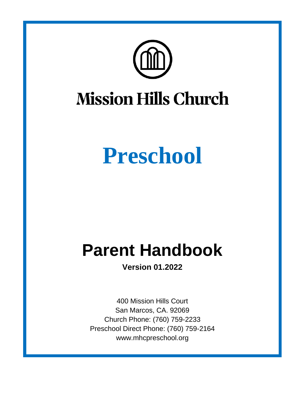

# **Preschool**

## **Parent Handbook**

**Version 01.2022**

400 Mission Hills Court San Marcos, CA. 92069 Church Phone: (760) 759-2233 Preschool Direct Phone: (760) 759-2164 www.mhcpreschool.org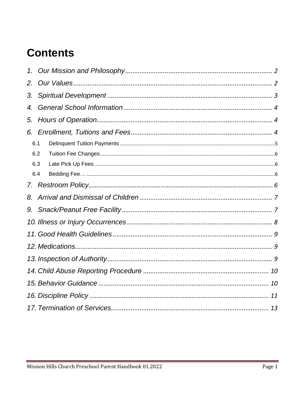## **Contents**

| 1.  |  |  |  |  |  |
|-----|--|--|--|--|--|
| 2.  |  |  |  |  |  |
| 3.  |  |  |  |  |  |
| 4.  |  |  |  |  |  |
| 5.  |  |  |  |  |  |
|     |  |  |  |  |  |
| 6.1 |  |  |  |  |  |
| 6.2 |  |  |  |  |  |
| 6.3 |  |  |  |  |  |
| 6.4 |  |  |  |  |  |
| 7.  |  |  |  |  |  |
| 8.  |  |  |  |  |  |
| 9.  |  |  |  |  |  |
|     |  |  |  |  |  |
|     |  |  |  |  |  |
|     |  |  |  |  |  |
|     |  |  |  |  |  |
|     |  |  |  |  |  |
|     |  |  |  |  |  |
|     |  |  |  |  |  |
|     |  |  |  |  |  |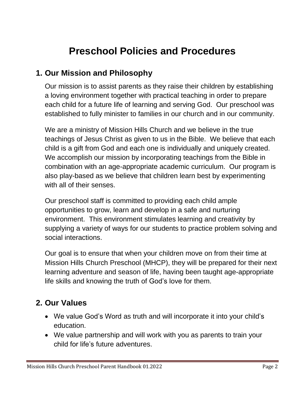## **Preschool Policies and Procedures**

#### <span id="page-2-0"></span>**1. Our Mission and Philosophy**

Our mission is to assist parents as they raise their children by establishing a loving environment together with practical teaching in order to prepare each child for a future life of learning and serving God. Our preschool was established to fully minister to families in our church and in our community.

We are a ministry of Mission Hills Church and we believe in the true teachings of Jesus Christ as given to us in the Bible. We believe that each child is a gift from God and each one is individually and uniquely created. We accomplish our mission by incorporating teachings from the Bible in combination with an age-appropriate academic curriculum. Our program is also play-based as we believe that children learn best by experimenting with all of their senses.

Our preschool staff is committed to providing each child ample opportunities to grow, learn and develop in a safe and nurturing environment. This environment stimulates learning and creativity by supplying a variety of ways for our students to practice problem solving and social interactions.

Our goal is to ensure that when your children move on from their time at Mission Hills Church Preschool (MHCP), they will be prepared for their next learning adventure and season of life, having been taught age-appropriate life skills and knowing the truth of God's love for them.

#### <span id="page-2-1"></span>**2. Our Values**

- We value God's Word as truth and will incorporate it into your child's education.
- We value partnership and will work with you as parents to train your child for life's future adventures.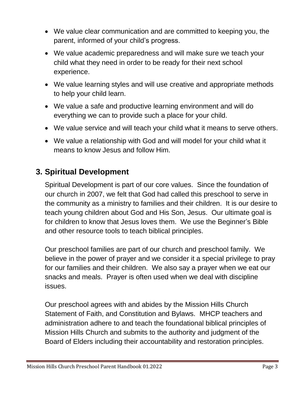- We value clear communication and are committed to keeping you, the parent, informed of your child's progress.
- We value academic preparedness and will make sure we teach your child what they need in order to be ready for their next school experience.
- We value learning styles and will use creative and appropriate methods to help your child learn.
- We value a safe and productive learning environment and will do everything we can to provide such a place for your child.
- We value service and will teach your child what it means to serve others.
- We value a relationship with God and will model for your child what it means to know Jesus and follow Him.

#### <span id="page-3-0"></span>**3. Spiritual Development**

Spiritual Development is part of our core values. Since the foundation of our church in 2007, we felt that God had called this preschool to serve in the community as a ministry to families and their children. It is our desire to teach young children about God and His Son, Jesus. Our ultimate goal is for children to know that Jesus loves them. We use the Beginner's Bible and other resource tools to teach biblical principles.

Our preschool families are part of our church and preschool family. We believe in the power of prayer and we consider it a special privilege to pray for our families and their children. We also say a prayer when we eat our snacks and meals. Prayer is often used when we deal with discipline issues.

Our preschool agrees with and abides by the Mission Hills Church Statement of Faith, and Constitution and Bylaws. MHCP teachers and administration adhere to and teach the foundational biblical principles of Mission Hills Church and submits to the authority and judgment of the Board of Elders including their accountability and restoration principles.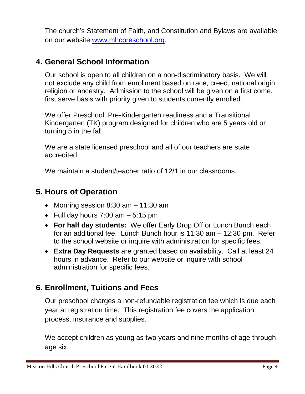The church's Statement of Faith, and Constitution and Bylaws are available on our website [www.mhcpreschool.org.](http://www.mhcpreschool.org/)

#### <span id="page-4-0"></span>**4. General School Information**

Our school is open to all children on a non-discriminatory basis. We will not exclude any child from enrollment based on race, creed, national origin, religion or ancestry. Admission to the school will be given on a first come, first serve basis with priority given to students currently enrolled.

We offer Preschool, Pre-Kindergarten readiness and a Transitional Kindergarten (TK) program designed for children who are 5 years old or turning 5 in the fall.

We are a state licensed preschool and all of our teachers are state accredited.

We maintain a student/teacher ratio of 12/1 in our classrooms.

#### <span id="page-4-1"></span>**5. Hours of Operation**

- Morning session  $8:30$  am  $-11:30$  am
- Full day hours  $7:00$  am  $-5:15$  pm
- **For half day students:** We offer Early Drop Off or Lunch Bunch each for an additional fee. Lunch Bunch hour is 11:30 am – 12:30 pm. Refer to the school website or inquire with administration for specific fees.
- **Extra Day Requests** are granted based on availability. Call at least 24 hours in advance. Refer to our website or inquire with school administration for specific fees.

#### <span id="page-4-2"></span>**6. Enrollment, Tuitions and Fees**

Our preschool charges a non-refundable registration fee which is due each year at registration time. This registration fee covers the application process, insurance and supplies.

We accept children as young as two years and nine months of age through age six.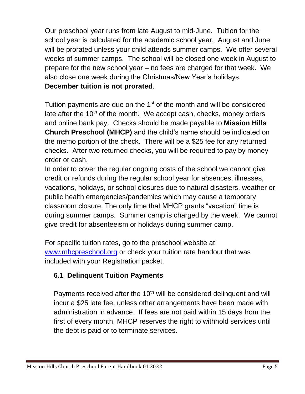Our preschool year runs from late August to mid-June. Tuition for the school year is calculated for the academic school year. August and June will be prorated unless your child attends summer camps. We offer several weeks of summer camps. The school will be closed one week in August to prepare for the new school year – no fees are charged for that week. We also close one week during the Christmas/New Year's holidays. **December tuition is not prorated**.

Tuition payments are due on the 1<sup>st</sup> of the month and will be considered late after the 10<sup>th</sup> of the month. We accept cash, checks, money orders and online bank pay. Checks should be made payable to **Mission Hills Church Preschool (MHCP)** and the child's name should be indicated on the memo portion of the check. There will be a \$25 fee for any returned checks. After two returned checks, you will be required to pay by money order or cash.

In order to cover the regular ongoing costs of the school we cannot give credit or refunds during the regular school year for absences, illnesses, vacations, holidays, or school closures due to natural disasters, weather or public health emergencies/pandemics which may cause a temporary classroom closure. The only time that MHCP grants "vacation" time is during summer camps. Summer camp is charged by the week. We cannot give credit for absenteeism or holidays during summer camp.

For specific tuition rates, go to the preschool website at [www.mhcpreschool.org](http://www.mhcpreschool.org/) or check your tuition rate handout that was included with your Registration packet.

#### <span id="page-5-0"></span>**6.1 Delinquent Tuition Payments**

Payments received after the  $10<sup>th</sup>$  will be considered delinguent and will incur a \$25 late fee, unless other arrangements have been made with administration in advance. If fees are not paid within 15 days from the first of every month, MHCP reserves the right to withhold services until the debt is paid or to terminate services.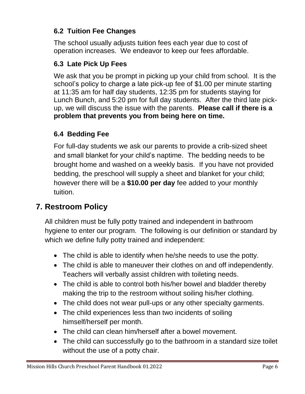#### <span id="page-6-0"></span>**6.2 Tuition Fee Changes**

The school usually adjusts tuition fees each year due to cost of operation increases. We endeavor to keep our fees affordable.

#### <span id="page-6-1"></span>**6.3 Late Pick Up Fees**

We ask that you be prompt in picking up your child from school. It is the school's policy to charge a late pick-up fee of \$1.00 per minute starting at 11:35 am for half day students, 12:35 pm for students staying for Lunch Bunch, and 5:20 pm for full day students. After the third late pickup, we will discuss the issue with the parents. **Please call if there is a problem that prevents you from being here on time.**

#### <span id="page-6-2"></span>**6.4 Bedding Fee**

For full-day students we ask our parents to provide a crib-sized sheet and small blanket for your child's naptime. The bedding needs to be brought home and washed on a weekly basis. If you have not provided bedding, the preschool will supply a sheet and blanket for your child; however there will be a **\$10.00 per day** fee added to your monthly tuition.

#### <span id="page-6-3"></span>**7. Restroom Policy**

All children must be fully potty trained and independent in bathroom hygiene to enter our program. The following is our definition or standard by which we define fully potty trained and independent:

- The child is able to identify when he/she needs to use the potty.
- The child is able to maneuver their clothes on and off independently. Teachers will verbally assist children with toileting needs.
- The child is able to control both his/her bowel and bladder thereby making the trip to the restroom without soiling his/her clothing.
- The child does not wear pull-ups or any other specialty garments.
- The child experiences less than two incidents of soiling himself/herself per month.
- The child can clean him/herself after a bowel movement.
- The child can successfully go to the bathroom in a standard size toilet without the use of a potty chair.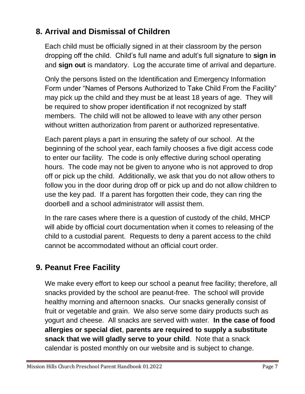#### **8. Arrival and Dismissal of Children**

Each child must be officially signed in at their classroom by the person dropping off the child. Child's full name and adult's full signature to **sign in** and **sign out** is mandatory. Log the accurate time of arrival and departure.

Only the persons listed on the Identification and Emergency Information Form under "Names of Persons Authorized to Take Child From the Facility" may pick up the child and they must be at least 18 years of age. They will be required to show proper identification if not recognized by staff members. The child will not be allowed to leave with any other person without written authorization from parent or authorized representative.

Each parent plays a part in ensuring the safety of our school. At the beginning of the school year, each family chooses a five digit access code to enter our facility. The code is only effective during school operating hours. The code may not be given to anyone who is not approved to drop off or pick up the child. Additionally, we ask that you do not allow others to follow you in the door during drop off or pick up and do not allow children to use the key pad. If a parent has forgotten their code, they can ring the doorbell and a school administrator will assist them.

In the rare cases where there is a question of custody of the child, MHCP will abide by official court documentation when it comes to releasing of the child to a custodial parent. Requests to deny a parent access to the child cannot be accommodated without an official court order.

#### <span id="page-7-0"></span>**9. Peanut Free Facility**

We make every effort to keep our school a peanut free facility; therefore, all snacks provided by the school are peanut-free. The school will provide healthy morning and afternoon snacks. Our snacks generally consist of fruit or vegetable and grain. We also serve some dairy products such as yogurt and cheese. All snacks are served with water*.* **In the case of food allergies or special diet**, **parents are required to supply a substitute snack that we will gladly serve to your child**. Note that a snack calendar is posted monthly on our website and is subject to change.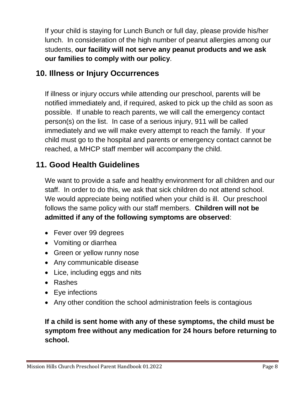If your child is staying for Lunch Bunch or full day, please provide his/her lunch. In consideration of the high number of peanut allergies among our students, **our facility will not serve any peanut products and we ask our families to comply with our policy**.

#### <span id="page-8-0"></span>**10. Illness or Injury Occurrences**

If illness or injury occurs while attending our preschool, parents will be notified immediately and, if required, asked to pick up the child as soon as possible. If unable to reach parents, we will call the emergency contact person(s) on the list. In case of a serious injury, 911 will be called immediately and we will make every attempt to reach the family. If your child must go to the hospital and parents or emergency contact cannot be reached, a MHCP staff member will accompany the child.

#### <span id="page-8-1"></span>**11. Good Health Guidelines**

We want to provide a safe and healthy environment for all children and our staff. In order to do this, we ask that sick children do not attend school. We would appreciate being notified when your child is ill. Our preschool follows the same policy with our staff members. **Children will not be admitted if any of the following symptoms are observed**:

- Fever over 99 degrees
- Vomiting or diarrhea
- Green or yellow runny nose
- Any communicable disease
- Lice, including eggs and nits
- Rashes
- Eye infections
- Any other condition the school administration feels is contagious

#### **If a child is sent home with any of these symptoms, the child must be symptom free without any medication for 24 hours before returning to school.**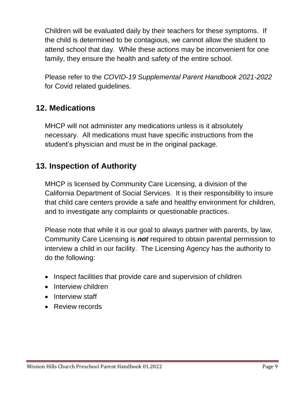Children will be evaluated daily by their teachers for these symptoms. If the child is determined to be contagious, we cannot allow the student to attend school that day. While these actions may be inconvenient for one family, they ensure the health and safety of the entire school.

Please refer to the *COVID-19 Supplemental Parent Handbook 2021-2022*  for Covid related guidelines.

#### <span id="page-9-0"></span>**12. Medications**

MHCP will not administer any medications unless is it absolutely necessary. All medications must have specific instructions from the student's physician and must be in the original package.

#### <span id="page-9-1"></span>**13. Inspection of Authority**

MHCP is licensed by Community Care Licensing, a division of the California Department of Social Services. It is their responsibility to insure that child care centers provide a safe and healthy environment for children, and to investigate any complaints or questionable practices.

Please note that while it is our goal to always partner with parents, by law, Community Care Licensing is *not* required to obtain parental permission to interview a child in our facility. The Licensing Agency has the authority to do the following:

- Inspect facilities that provide care and supervision of children
- Interview children
- Interview staff
- Review records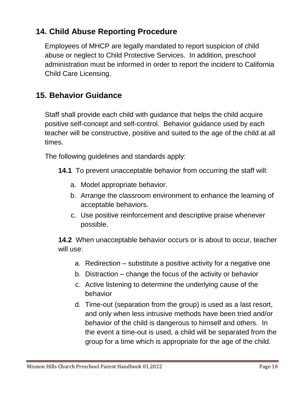#### <span id="page-10-0"></span>**14. Child Abuse Reporting Procedure**

Employees of MHCP are legally mandated to report suspicion of child abuse or neglect to Child Protective Services. In addition, preschool administration must be informed in order to report the incident to California Child Care Licensing.

#### <span id="page-10-1"></span>**15. Behavior Guidance**

Staff shall provide each child with guidance that helps the child acquire positive self-concept and self-control. Behavior guidance used by each teacher will be constructive, positive and suited to the age of the child at all times.

The following guidelines and standards apply:

- **14.1** To prevent unacceptable behavior from occurring the staff will:
	- a. Model appropriate behavior.
	- b. Arrange the classroom environment to enhance the learning of acceptable behaviors.
	- c. Use positive reinforcement and descriptive praise whenever possible.

**14.2** When unacceptable behavior occurs or is about to occur, teacher will use:

- a. Redirection substitute a positive activity for a negative one
- b. Distraction change the focus of the activity or behavior
- c. Active listening to determine the underlying cause of the behavior
- d. Time-out (separation from the group) is used as a last resort, and only when less intrusive methods have been tried and/or behavior of the child is dangerous to himself and others. In the event a time-out is used, a child will be separated from the group for a time which is appropriate for the age of the child.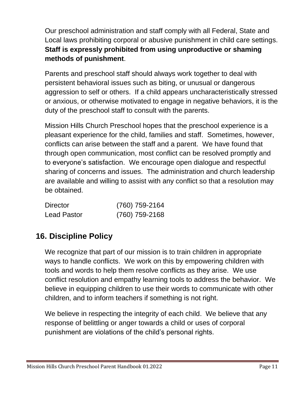Our preschool administration and staff comply with all Federal, State and Local laws prohibiting corporal or abusive punishment in child care settings. **Staff is expressly prohibited from using unproductive or shaming methods of punishment**.

Parents and preschool staff should always work together to deal with persistent behavioral issues such as biting, or unusual or dangerous aggression to self or others. If a child appears uncharacteristically stressed or anxious, or otherwise motivated to engage in negative behaviors, it is the duty of the preschool staff to consult with the parents.

Mission Hills Church Preschool hopes that the preschool experience is a pleasant experience for the child, families and staff. Sometimes, however, conflicts can arise between the staff and a parent. We have found that through open communication, most conflict can be resolved promptly and to everyone's satisfaction. We encourage open dialogue and respectful sharing of concerns and issues. The administration and church leadership are available and willing to assist with any conflict so that a resolution may be obtained.

| <b>Director</b>    | (760) 759-2164   |
|--------------------|------------------|
| <b>Lead Pastor</b> | $(760)$ 759-2168 |

#### <span id="page-11-0"></span>**16. Discipline Policy**

We recognize that part of our mission is to train children in appropriate ways to handle conflicts. We work on this by empowering children with tools and words to help them resolve conflicts as they arise. We use conflict resolution and empathy learning tools to address the behavior. We believe in equipping children to use their words to communicate with other children, and to inform teachers if something is not right.

We believe in respecting the integrity of each child. We believe that any response of belittling or anger towards a child or uses of corporal punishment are violations of the child's personal rights.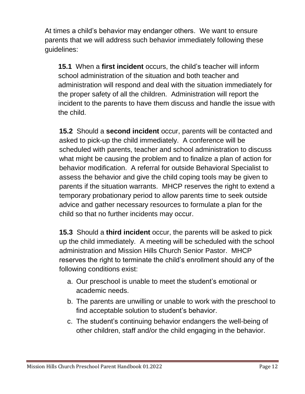At times a child's behavior may endanger others. We want to ensure parents that we will address such behavior immediately following these guidelines:

**15.1** When a **first incident** occurs, the child's teacher will inform school administration of the situation and both teacher and administration will respond and deal with the situation immediately for the proper safety of all the children. Administration will report the incident to the parents to have them discuss and handle the issue with the child.

**15.2** Should a **second incident** occur, parents will be contacted and asked to pick-up the child immediately. A conference will be scheduled with parents, teacher and school administration to discuss what might be causing the problem and to finalize a plan of action for behavior modification. A referral for outside Behavioral Specialist to assess the behavior and give the child coping tools may be given to parents if the situation warrants. MHCP reserves the right to extend a temporary probationary period to allow parents time to seek outside advice and gather necessary resources to formulate a plan for the child so that no further incidents may occur.

**15.3** Should a **third incident** occur, the parents will be asked to pick up the child immediately. A meeting will be scheduled with the school administration and Mission Hills Church Senior Pastor. MHCP reserves the right to terminate the child's enrollment should any of the following conditions exist:

- a. Our preschool is unable to meet the student's emotional or academic needs.
- b. The parents are unwilling or unable to work with the preschool to find acceptable solution to student's behavior.
- c. The student's continuing behavior endangers the well-being of other children, staff and/or the child engaging in the behavior.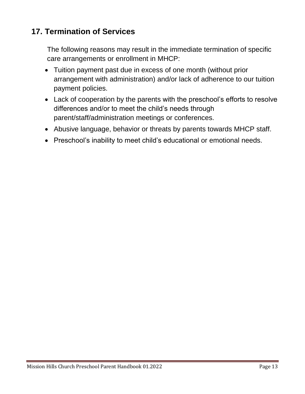#### <span id="page-13-0"></span>**17. Termination of Services**

The following reasons may result in the immediate termination of specific care arrangements or enrollment in MHCP:

- Tuition payment past due in excess of one month (without prior arrangement with administration) and/or lack of adherence to our tuition payment policies.
- Lack of cooperation by the parents with the preschool's efforts to resolve differences and/or to meet the child's needs through parent/staff/administration meetings or conferences.
- Abusive language, behavior or threats by parents towards MHCP staff.
- Preschool's inability to meet child's educational or emotional needs.